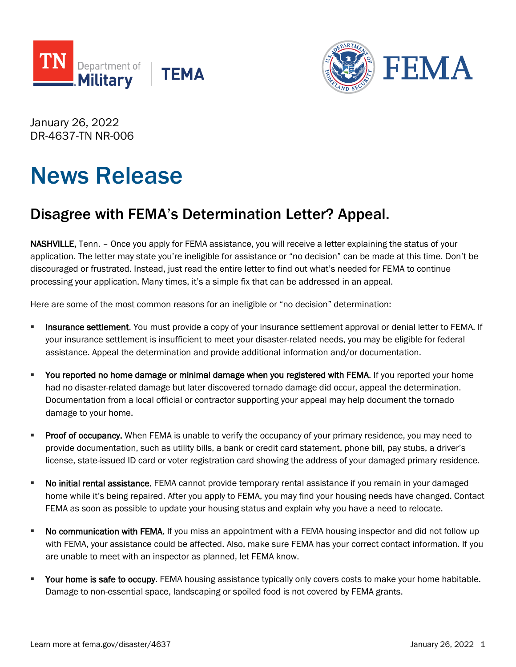



January 26, 2022 DR-4637-TN NR-006

## News Release

## Disagree with FEMA's Determination Letter? Appeal.

NASHVILLE, Tenn. – Once you apply for FEMA assistance, you will receive a letter explaining the status of your application. The letter may state you're ineligible for assistance or "no decision" can be made at this time. Don't be discouraged or frustrated. Instead, just read the entire letter to find out what's needed for FEMA to continue processing your application. Many times, it's a simple fix that can be addressed in an appeal.

Here are some of the most common reasons for an ineligible or "no decision" determination:

- **Insurance settlement**. You must provide a copy of your insurance settlement approval or denial letter to FEMA. If your insurance settlement is insufficient to meet your disaster-related needs, you may be eligible for federal assistance. Appeal the determination and provide additional information and/or documentation.
- **You reported no home damage or minimal damage when you registered with FEMA.** If you reported your home had no disaster-related damage but later discovered tornado damage did occur, appeal the determination. Documentation from a local official or contractor supporting your appeal may help document the tornado damage to your home.
- **Proof of occupancy.** When FEMA is unable to verify the occupancy of your primary residence, you may need to provide documentation, such as utility bills, a bank or credit card statement, phone bill, pay stubs, a driver's license, state-issued ID card or voter registration card showing the address of your damaged primary residence.
- **No initial rental assistance.** FEMA cannot provide temporary rental assistance if you remain in your damaged home while it's being repaired. After you apply to FEMA, you may find your housing needs have changed. Contact FEMA as soon as possible to update your housing status and explain why you have a need to relocate.
- **No communication with FEMA.** If you miss an appointment with a FEMA housing inspector and did not follow up with FEMA, your assistance could be affected. Also, make sure FEMA has your correct contact information. If you are unable to meet with an inspector as planned, let FEMA know.
- Your home is safe to occupy. FEMA housing assistance typically only covers costs to make your home habitable. Damage to non-essential space, landscaping or spoiled food is not covered by FEMA grants.